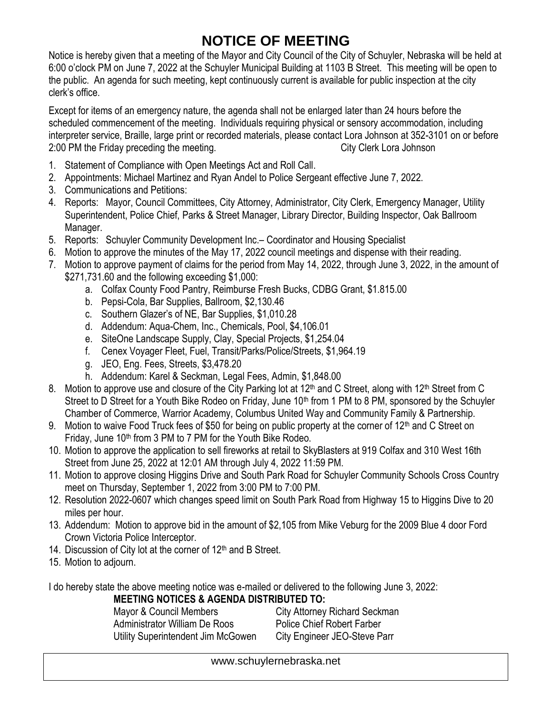## **NOTICE OF MEETING**

Notice is hereby given that a meeting of the Mayor and City Council of the City of Schuyler, Nebraska will be held at 6:00 o'clock PM on June 7, 2022 at the Schuyler Municipal Building at 1103 B Street. This meeting will be open to the public. An agenda for such meeting, kept continuously current is available for public inspection at the city clerk's office.

Except for items of an emergency nature, the agenda shall not be enlarged later than 24 hours before the scheduled commencement of the meeting. Individuals requiring physical or sensory accommodation, including interpreter service, Braille, large print or recorded materials, please contact Lora Johnson at 352-3101 on or before 2:00 PM the Friday preceding the meeting. The meeting of the City Clerk Lora Johnson

- 1. Statement of Compliance with Open Meetings Act and Roll Call.
- 2. Appointments: Michael Martinez and Ryan Andel to Police Sergeant effective June 7, 2022.
- 3. Communications and Petitions:
- 4. Reports: Mayor, Council Committees, City Attorney, Administrator, City Clerk, Emergency Manager, Utility Superintendent, Police Chief, Parks & Street Manager, Library Director, Building Inspector, Oak Ballroom Manager.
- 5. Reports: Schuyler Community Development Inc.– Coordinator and Housing Specialist
- 6. Motion to approve the minutes of the May 17, 2022 council meetings and dispense with their reading.
- 7. Motion to approve payment of claims for the period from May 14, 2022, through June 3, 2022, in the amount of \$271,731.60 and the following exceeding \$1,000:
	- a. Colfax County Food Pantry, Reimburse Fresh Bucks, CDBG Grant, \$1.815.00
	- b. Pepsi-Cola, Bar Supplies, Ballroom, \$2,130.46
	- c. Southern Glazer's of NE, Bar Supplies, \$1,010.28
	- d. Addendum: Aqua-Chem, Inc., Chemicals, Pool, \$4,106.01
	- e. SiteOne Landscape Supply, Clay, Special Projects, \$1,254.04
	- f. Cenex Voyager Fleet, Fuel, Transit/Parks/Police/Streets, \$1,964.19
	- g. JEO, Eng. Fees, Streets, \$3,478.20
	- h. Addendum: Karel & Seckman, Legal Fees, Admin, \$1,848.00
- 8. Motion to approve use and closure of the City Parking lot at 12<sup>th</sup> and C Street, along with 12<sup>th</sup> Street from C Street to D Street for a Youth Bike Rodeo on Friday, June 10<sup>th</sup> from 1 PM to 8 PM, sponsored by the Schuyler Chamber of Commerce, Warrior Academy, Columbus United Way and Community Family & Partnership.
- 9. Motion to waive Food Truck fees of \$50 for being on public property at the corner of 12<sup>th</sup> and C Street on Friday, June 10<sup>th</sup> from 3 PM to 7 PM for the Youth Bike Rodeo.
- 10. Motion to approve the application to sell fireworks at retail to SkyBlasters at 919 Colfax and 310 West 16th Street from June 25, 2022 at 12:01 AM through July 4, 2022 11:59 PM.
- 11. Motion to approve closing Higgins Drive and South Park Road for Schuyler Community Schools Cross Country meet on Thursday, September 1, 2022 from 3:00 PM to 7:00 PM.
- 12. Resolution 2022-0607 which changes speed limit on South Park Road from Highway 15 to Higgins Dive to 20 miles per hour.
- 13. Addendum: Motion to approve bid in the amount of \$2,105 from Mike Veburg for the 2009 Blue 4 door Ford Crown Victoria Police Interceptor.
- 14. Discussion of City lot at the corner of  $12<sup>th</sup>$  and B Street.
- 15. Motion to adjourn.

I do hereby state the above meeting notice was e-mailed or delivered to the following June 3, 2022: **MEETING NOTICES & AGENDA DISTRIBUTED TO:**

Mayor & Council Members City Attorney Richard Seckman Administrator William De Roos Police Chief Robert Farber Utility Superintendent Jim McGowen City Engineer JEO-Steve Parr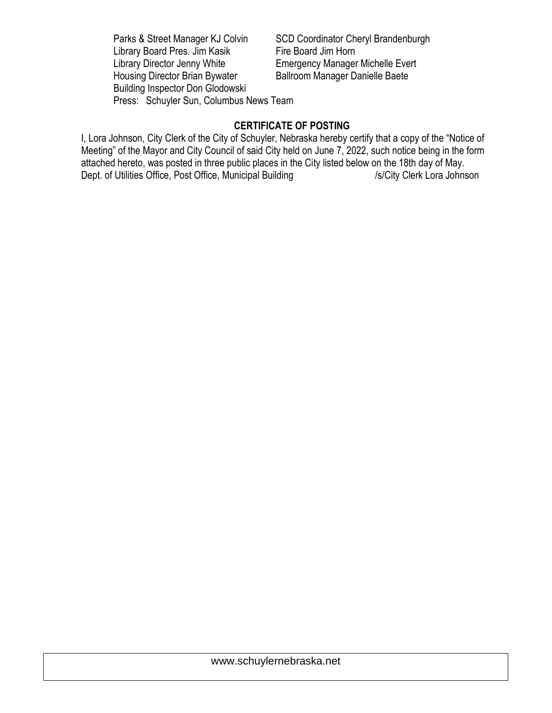Parks & Street Manager KJ Colvin SCD Coordinator Cheryl Brandenburgh Library Board Pres. Jim Kasik Fire Board Jim Horn Library Director Jenny White **Emergency Manager Michelle Evert** Housing Director Brian Bywater Ballroom Manager Danielle Baete Building Inspector Don Glodowski Press: Schuyler Sun, Columbus News Team

## **CERTIFICATE OF POSTING**

I, Lora Johnson, City Clerk of the City of Schuyler, Nebraska hereby certify that a copy of the "Notice of Meeting" of the Mayor and City Council of said City held on June 7, 2022, such notice being in the form attached hereto, was posted in three public places in the City listed below on the 18th day of May. Dept. of Utilities Office, Post Office, Municipal Building /s/City Clerk Lora Johnson